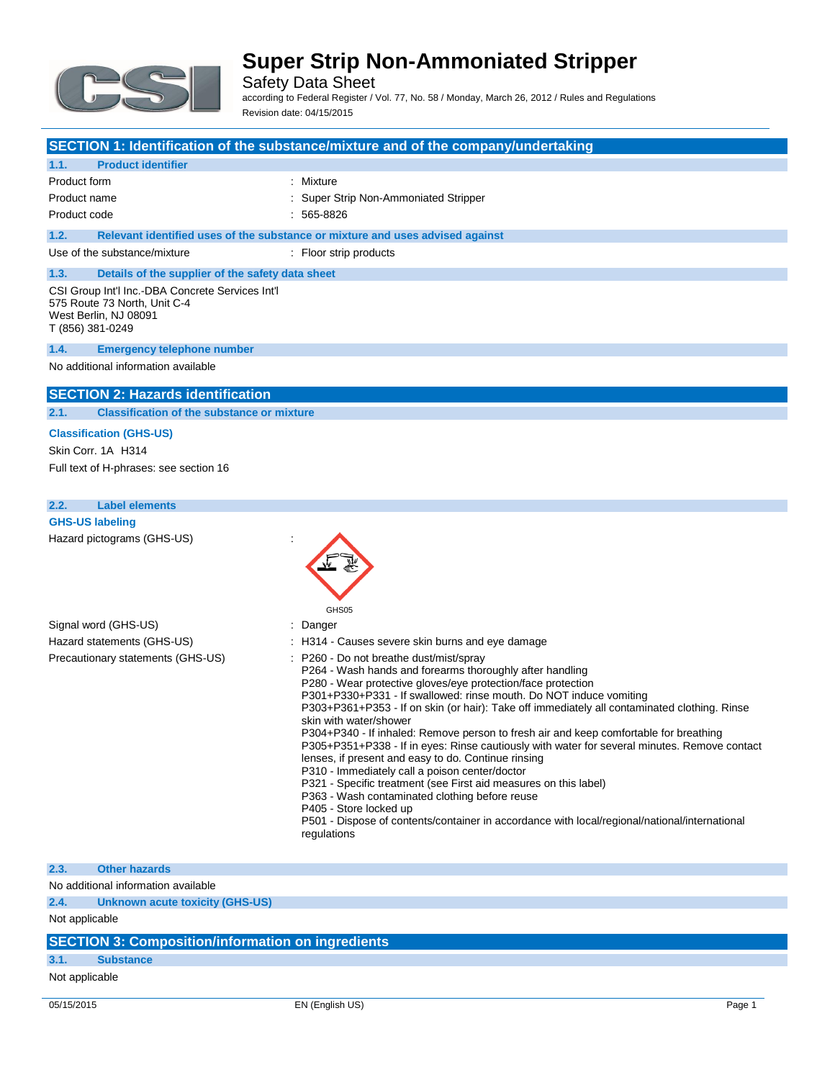

Safety Data Sheet according to Federal Register / Vol. 77, No. 58 / Monday, March 26, 2012 / Rules and Regulations Revision date: 04/15/2015

|                                                                                                                               | SECTION 1: Identification of the substance/mixture and of the company/undertaking                                                                                                                                                                                                                                                                                                                                                                                                                                                                                                                                                                                                                                                                                                                                                                                                                                                   |
|-------------------------------------------------------------------------------------------------------------------------------|-------------------------------------------------------------------------------------------------------------------------------------------------------------------------------------------------------------------------------------------------------------------------------------------------------------------------------------------------------------------------------------------------------------------------------------------------------------------------------------------------------------------------------------------------------------------------------------------------------------------------------------------------------------------------------------------------------------------------------------------------------------------------------------------------------------------------------------------------------------------------------------------------------------------------------------|
| 1.1.<br><b>Product identifier</b>                                                                                             |                                                                                                                                                                                                                                                                                                                                                                                                                                                                                                                                                                                                                                                                                                                                                                                                                                                                                                                                     |
| Product form                                                                                                                  | : Mixture                                                                                                                                                                                                                                                                                                                                                                                                                                                                                                                                                                                                                                                                                                                                                                                                                                                                                                                           |
| Product name                                                                                                                  | Super Strip Non-Ammoniated Stripper                                                                                                                                                                                                                                                                                                                                                                                                                                                                                                                                                                                                                                                                                                                                                                                                                                                                                                 |
| Product code                                                                                                                  | 565-8826                                                                                                                                                                                                                                                                                                                                                                                                                                                                                                                                                                                                                                                                                                                                                                                                                                                                                                                            |
| 1.2.                                                                                                                          | Relevant identified uses of the substance or mixture and uses advised against                                                                                                                                                                                                                                                                                                                                                                                                                                                                                                                                                                                                                                                                                                                                                                                                                                                       |
| Use of the substance/mixture                                                                                                  | : Floor strip products                                                                                                                                                                                                                                                                                                                                                                                                                                                                                                                                                                                                                                                                                                                                                                                                                                                                                                              |
|                                                                                                                               |                                                                                                                                                                                                                                                                                                                                                                                                                                                                                                                                                                                                                                                                                                                                                                                                                                                                                                                                     |
| 1.3.<br>Details of the supplier of the safety data sheet                                                                      |                                                                                                                                                                                                                                                                                                                                                                                                                                                                                                                                                                                                                                                                                                                                                                                                                                                                                                                                     |
| CSI Group Int'l Inc.-DBA Concrete Services Int'l<br>575 Route 73 North, Unit C-4<br>West Berlin, NJ 08091<br>T (856) 381-0249 |                                                                                                                                                                                                                                                                                                                                                                                                                                                                                                                                                                                                                                                                                                                                                                                                                                                                                                                                     |
| 1.4.<br><b>Emergency telephone number</b>                                                                                     |                                                                                                                                                                                                                                                                                                                                                                                                                                                                                                                                                                                                                                                                                                                                                                                                                                                                                                                                     |
| No additional information available                                                                                           |                                                                                                                                                                                                                                                                                                                                                                                                                                                                                                                                                                                                                                                                                                                                                                                                                                                                                                                                     |
|                                                                                                                               |                                                                                                                                                                                                                                                                                                                                                                                                                                                                                                                                                                                                                                                                                                                                                                                                                                                                                                                                     |
| <b>SECTION 2: Hazards identification</b>                                                                                      |                                                                                                                                                                                                                                                                                                                                                                                                                                                                                                                                                                                                                                                                                                                                                                                                                                                                                                                                     |
| 2.1.<br><b>Classification of the substance or mixture</b>                                                                     |                                                                                                                                                                                                                                                                                                                                                                                                                                                                                                                                                                                                                                                                                                                                                                                                                                                                                                                                     |
| <b>Classification (GHS-US)</b>                                                                                                |                                                                                                                                                                                                                                                                                                                                                                                                                                                                                                                                                                                                                                                                                                                                                                                                                                                                                                                                     |
| Skin Corr. 1A H314                                                                                                            |                                                                                                                                                                                                                                                                                                                                                                                                                                                                                                                                                                                                                                                                                                                                                                                                                                                                                                                                     |
| Full text of H-phrases: see section 16                                                                                        |                                                                                                                                                                                                                                                                                                                                                                                                                                                                                                                                                                                                                                                                                                                                                                                                                                                                                                                                     |
|                                                                                                                               |                                                                                                                                                                                                                                                                                                                                                                                                                                                                                                                                                                                                                                                                                                                                                                                                                                                                                                                                     |
| <b>Label elements</b><br>2.2.                                                                                                 |                                                                                                                                                                                                                                                                                                                                                                                                                                                                                                                                                                                                                                                                                                                                                                                                                                                                                                                                     |
| <b>GHS-US labeling</b>                                                                                                        |                                                                                                                                                                                                                                                                                                                                                                                                                                                                                                                                                                                                                                                                                                                                                                                                                                                                                                                                     |
| Hazard pictograms (GHS-US)                                                                                                    | GHS05                                                                                                                                                                                                                                                                                                                                                                                                                                                                                                                                                                                                                                                                                                                                                                                                                                                                                                                               |
| Signal word (GHS-US)                                                                                                          | Danger                                                                                                                                                                                                                                                                                                                                                                                                                                                                                                                                                                                                                                                                                                                                                                                                                                                                                                                              |
| Hazard statements (GHS-US)                                                                                                    | H314 - Causes severe skin burns and eye damage                                                                                                                                                                                                                                                                                                                                                                                                                                                                                                                                                                                                                                                                                                                                                                                                                                                                                      |
| Precautionary statements (GHS-US)                                                                                             | P260 - Do not breathe dust/mist/spray<br>P264 - Wash hands and forearms thoroughly after handling<br>P280 - Wear protective gloves/eye protection/face protection<br>P301+P330+P331 - If swallowed: rinse mouth. Do NOT induce vomiting<br>P303+P361+P353 - If on skin (or hair): Take off immediately all contaminated clothing. Rinse<br>skin with water/shower<br>P304+P340 - If inhaled: Remove person to fresh air and keep comfortable for breathing<br>P305+P351+P338 - If in eyes: Rinse cautiously with water for several minutes. Remove contact<br>lenses, if present and easy to do. Continue rinsing<br>P310 - Immediately call a poison center/doctor<br>P321 - Specific treatment (see First aid measures on this label)<br>P363 - Wash contaminated clothing before reuse<br>P405 - Store locked up<br>P501 - Dispose of contents/container in accordance with local/regional/national/international<br>regulations |

#### **2.3. Other hazards**

No additional information available

**2.4. Unknown acute toxicity (GHS-US)**

Not applicable

### **SECTION 3: Composition/information on ingredients**

### **3.1. Substance**

Not applicable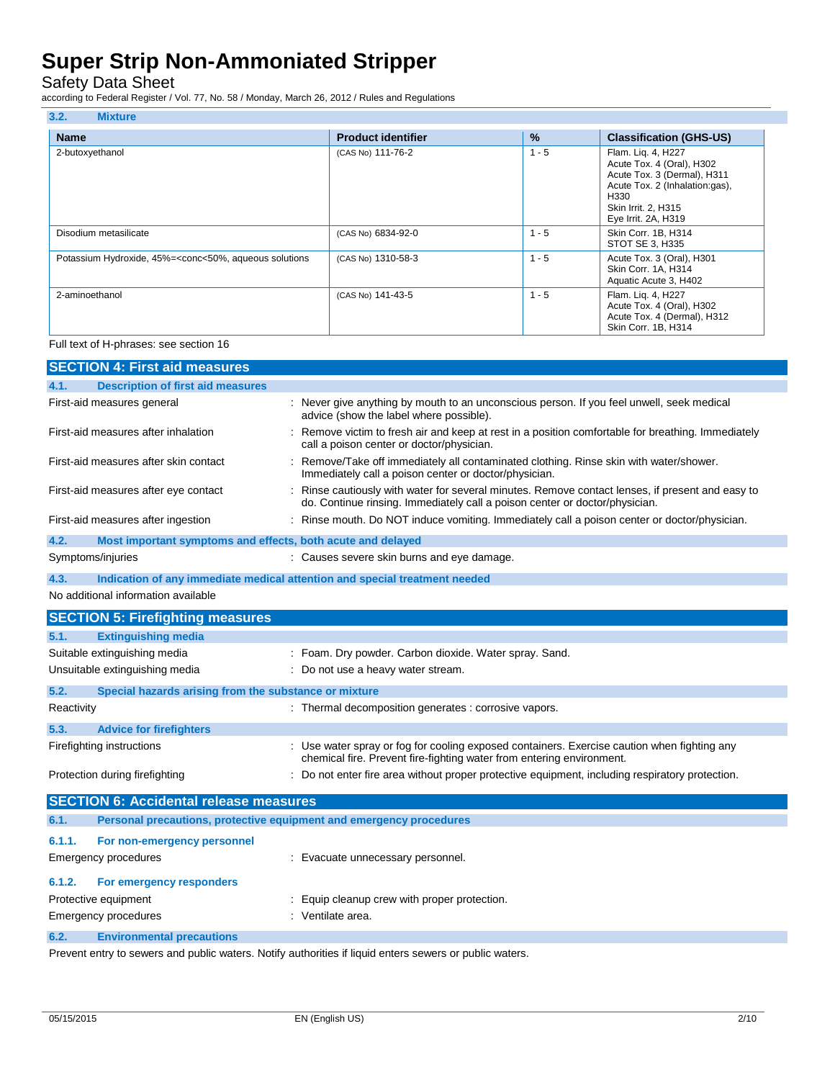Safety Data Sheet

according to Federal Register / Vol. 77, No. 58 / Monday, March 26, 2012 / Rules and Regulations

| 3.2.<br><b>Mixture</b>                                                                                                                                                                                                     |                           |         |                                                                                                                                                                        |
|----------------------------------------------------------------------------------------------------------------------------------------------------------------------------------------------------------------------------|---------------------------|---------|------------------------------------------------------------------------------------------------------------------------------------------------------------------------|
| <b>Name</b>                                                                                                                                                                                                                | <b>Product identifier</b> | $\%$    | <b>Classification (GHS-US)</b>                                                                                                                                         |
| 2-butoxyethanol                                                                                                                                                                                                            | (CAS No) 111-76-2         | $1 - 5$ | Flam. Liq. 4, H227<br>Acute Tox. 4 (Oral), H302<br>Acute Tox. 3 (Dermal), H311<br>Acute Tox. 2 (Inhalation:gas),<br>H330<br>Skin Irrit. 2, H315<br>Eye Irrit. 2A, H319 |
| Disodium metasilicate                                                                                                                                                                                                      | (CAS No) 6834-92-0        | $1 - 5$ | Skin Corr. 1B, H314<br>STOT SE 3, H335                                                                                                                                 |
| Potassium Hydroxide, 45%= <conc<50%, aqueous="" solutions<="" td=""><td>(CAS No) 1310-58-3</td><td><math>1 - 5</math></td><td>Acute Tox. 3 (Oral), H301<br/>Skin Corr. 1A, H314<br/>Aquatic Acute 3, H402</td></conc<50%,> | (CAS No) 1310-58-3        | $1 - 5$ | Acute Tox. 3 (Oral), H301<br>Skin Corr. 1A, H314<br>Aquatic Acute 3, H402                                                                                              |
| 2-aminoethanol                                                                                                                                                                                                             | (CAS No) 141-43-5         | $1 - 5$ | Flam. Liq. 4, H227<br>Acute Tox. 4 (Oral), H302<br>Acute Tox. 4 (Dermal), H312<br>Skin Corr. 1B, H314                                                                  |

#### Full text of H-phrases: see section 16

|            | <b>SECTION 4: First aid measures</b>                                |                                                                                                                                                                               |
|------------|---------------------------------------------------------------------|-------------------------------------------------------------------------------------------------------------------------------------------------------------------------------|
| 4.1.       | <b>Description of first aid measures</b>                            |                                                                                                                                                                               |
|            | First-aid measures general                                          | : Never give anything by mouth to an unconscious person. If you feel unwell, seek medical<br>advice (show the label where possible).                                          |
|            | First-aid measures after inhalation                                 | Remove victim to fresh air and keep at rest in a position comfortable for breathing. Immediately<br>call a poison center or doctor/physician.                                 |
|            | First-aid measures after skin contact                               | Remove/Take off immediately all contaminated clothing. Rinse skin with water/shower.<br>Immediately call a poison center or doctor/physician.                                 |
|            | First-aid measures after eye contact                                | Rinse cautiously with water for several minutes. Remove contact lenses, if present and easy to<br>do. Continue rinsing. Immediately call a poison center or doctor/physician. |
|            | First-aid measures after ingestion                                  | : Rinse mouth. Do NOT induce vomiting. Immediately call a poison center or doctor/physician.                                                                                  |
| 4.2.       | Most important symptoms and effects, both acute and delayed         |                                                                                                                                                                               |
|            | Symptoms/injuries                                                   | : Causes severe skin burns and eye damage.                                                                                                                                    |
| 4.3.       |                                                                     | Indication of any immediate medical attention and special treatment needed                                                                                                    |
|            | No additional information available                                 |                                                                                                                                                                               |
|            | <b>SECTION 5: Firefighting measures</b>                             |                                                                                                                                                                               |
| 5.1.       | <b>Extinguishing media</b>                                          |                                                                                                                                                                               |
|            | Suitable extinguishing media                                        | : Foam. Dry powder. Carbon dioxide. Water spray. Sand.                                                                                                                        |
|            | Unsuitable extinguishing media                                      | Do not use a heavy water stream.                                                                                                                                              |
| 5.2.       | Special hazards arising from the substance or mixture               |                                                                                                                                                                               |
| Reactivity |                                                                     | : Thermal decomposition generates : corrosive vapors.                                                                                                                         |
| 5.3.       | <b>Advice for firefighters</b>                                      |                                                                                                                                                                               |
|            | Firefighting instructions                                           | : Use water spray or fog for cooling exposed containers. Exercise caution when fighting any<br>chemical fire. Prevent fire-fighting water from entering environment.          |
|            | Protection during firefighting                                      | : Do not enter fire area without proper protective equipment, including respiratory protection.                                                                               |
|            | <b>SECTION 6: Accidental release measures</b>                       |                                                                                                                                                                               |
| 6.1.       | Personal precautions, protective equipment and emergency procedures |                                                                                                                                                                               |
| 6.1.1.     | For non-emergency personnel                                         |                                                                                                                                                                               |
|            | <b>Emergency procedures</b>                                         | : Evacuate unnecessary personnel.                                                                                                                                             |
| 6.1.2.     | For emergency responders                                            |                                                                                                                                                                               |
|            | Protective equipment                                                | Equip cleanup crew with proper protection.                                                                                                                                    |
|            | Emergency procedures                                                | : Ventilate area.                                                                                                                                                             |
| 6.2.       | <b>Environmental precautions</b>                                    |                                                                                                                                                                               |

Prevent entry to sewers and public waters. Notify authorities if liquid enters sewers or public waters.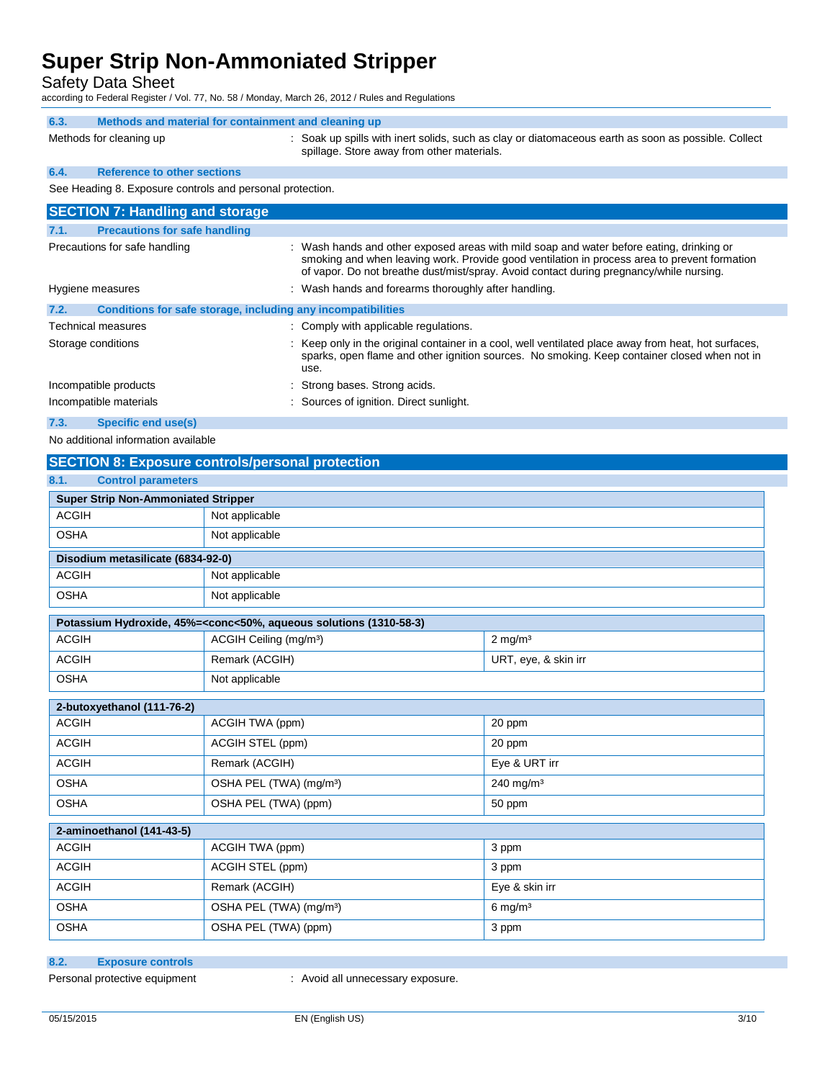Safety Data Sheet

according to Federal Register / Vol. 77, No. 58 / Monday, March 26, 2012 / Rules and Regulations

| 6.3. | Methods and material for containment and cleaning up      |                                                                                                                                                                                          |
|------|-----------------------------------------------------------|------------------------------------------------------------------------------------------------------------------------------------------------------------------------------------------|
|      | Methods for cleaning up                                   | : Soak up spills with inert solids, such as clay or diatomaceous earth as soon as possible. Collect<br>spillage. Store away from other materials.                                        |
| 6.4. | <b>Reference to other sections</b>                        |                                                                                                                                                                                          |
|      | See Heading 8. Exposure controls and personal protection. |                                                                                                                                                                                          |
|      | <b>SECTION 7: Handling and storage</b>                    |                                                                                                                                                                                          |
| 7.1. | <b>Precautions for safe handling</b>                      |                                                                                                                                                                                          |
|      | Precautions for safe handling                             | : Wash hands and other exposed areas with mild soap and water before eating, drinking or<br>smoking and when leaving work. Provide good ventilation in process area to prevent formation |

|      | Hygiene measures                                             | of vapor. Do not breathe dust/mist/spray. Avoid contact during pregnancy/while nursing.<br>: Wash hands and forearms thoroughly after handling.                                                              |
|------|--------------------------------------------------------------|--------------------------------------------------------------------------------------------------------------------------------------------------------------------------------------------------------------|
| 7.2. | Conditions for safe storage, including any incompatibilities |                                                                                                                                                                                                              |
|      | <b>Technical measures</b>                                    | : Comply with applicable regulations.                                                                                                                                                                        |
|      | Storage conditions                                           | : Keep only in the original container in a cool, well ventilated place away from heat, hot surfaces,<br>sparks, open flame and other ignition sources. No smoking. Keep container closed when not in<br>use. |
|      | Incompatible products                                        | : Strong bases. Strong acids.                                                                                                                                                                                |

Incompatible materials **incompatible materials** : Sources of ignition. Direct sunlight.

**7.3. Specific end use(s)**

No additional information available

### **SECTION 8: Exposure controls/personal protection**

| 8.1.<br><b>Control parameters</b>          |                                                                                                          |                       |  |  |
|--------------------------------------------|----------------------------------------------------------------------------------------------------------|-----------------------|--|--|
| <b>Super Strip Non-Ammoniated Stripper</b> |                                                                                                          |                       |  |  |
| <b>ACGIH</b>                               | Not applicable                                                                                           |                       |  |  |
| <b>OSHA</b>                                | Not applicable                                                                                           |                       |  |  |
| Disodium metasilicate (6834-92-0)          |                                                                                                          |                       |  |  |
| <b>ACGIH</b>                               | Not applicable                                                                                           |                       |  |  |
| <b>OSHA</b>                                | Not applicable                                                                                           |                       |  |  |
|                                            | Potassium Hydroxide, 45%= <conc<50%, (1310-58-3)<="" aqueous="" solutions="" td=""><td></td></conc<50%,> |                       |  |  |
| <b>ACGIH</b>                               | ACGIH Ceiling (mg/m <sup>3</sup> )                                                                       | $2 \text{ mg/m}^3$    |  |  |
| <b>ACGIH</b>                               | Remark (ACGIH)                                                                                           | URT, eye, & skin irr  |  |  |
| <b>OSHA</b>                                | Not applicable                                                                                           |                       |  |  |
| 2-butoxyethanol (111-76-2)                 |                                                                                                          |                       |  |  |
| <b>ACGIH</b>                               | ACGIH TWA (ppm)                                                                                          | 20 ppm                |  |  |
| <b>ACGIH</b>                               | ACGIH STEL (ppm)                                                                                         | 20 ppm                |  |  |
| <b>ACGIH</b>                               | Remark (ACGIH)                                                                                           | Eye & URT irr         |  |  |
| <b>OSHA</b>                                | OSHA PEL (TWA) (mg/m <sup>3</sup> )                                                                      | 240 mg/m <sup>3</sup> |  |  |
| <b>OSHA</b>                                | OSHA PEL (TWA) (ppm)<br>50 ppm                                                                           |                       |  |  |
| 2-aminoethanol (141-43-5)                  |                                                                                                          |                       |  |  |
| <b>ACGIH</b>                               | ACGIH TWA (ppm)                                                                                          | 3 ppm                 |  |  |
| <b>ACGIH</b>                               | ACGIH STEL (ppm)                                                                                         | 3 ppm                 |  |  |
| <b>ACGIH</b>                               | Remark (ACGIH)                                                                                           | Eye & skin irr        |  |  |
| <b>OSHA</b>                                | OSHA PEL (TWA) (mg/m <sup>3</sup> )                                                                      | $6$ mg/m <sup>3</sup> |  |  |
| <b>OSHA</b>                                | OSHA PEL (TWA) (ppm)                                                                                     | 3 ppm                 |  |  |

**8.2. Exposure controls**

Personal protective equipment : Avoid all unnecessary exposure.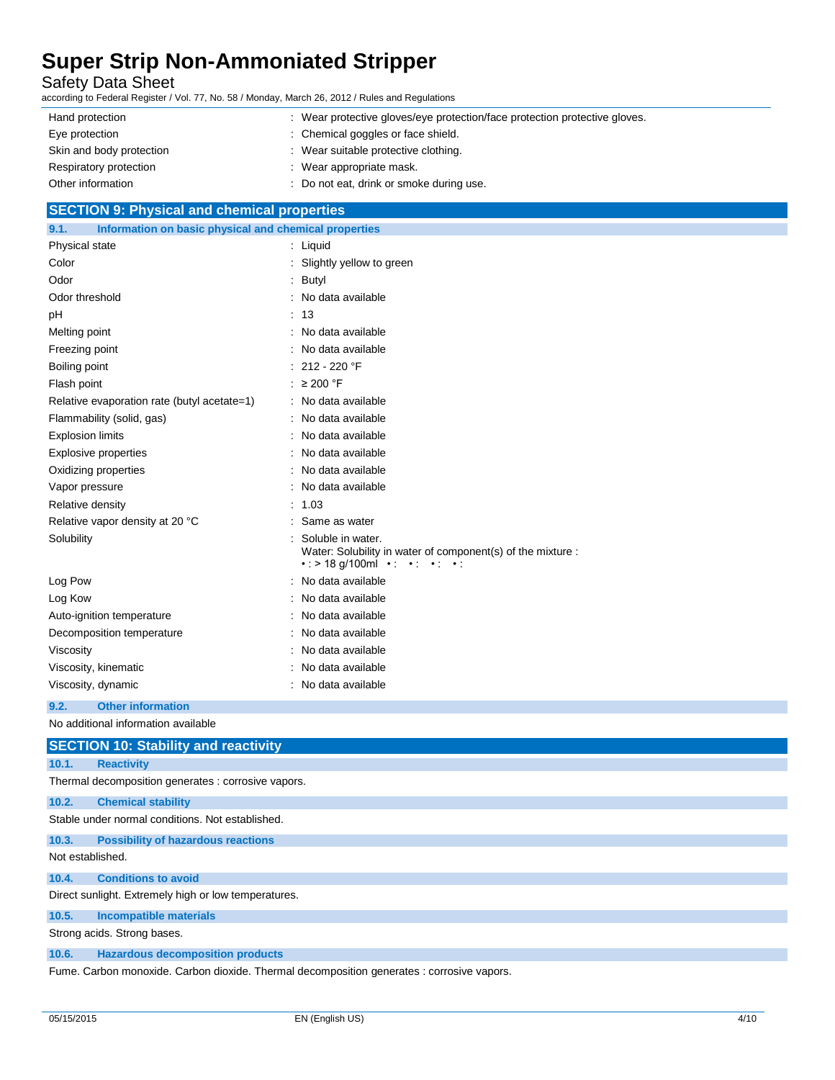Safety Data Sheet

according to Federal Register / Vol. 77, No. 58 / Monday, March 26, 2012 / Rules and Regulations

| Hand protection          | : Wear protective gloves/eye protection/face protection protective gloves. |
|--------------------------|----------------------------------------------------------------------------|
| Eye protection           | : Chemical goggles or face shield.                                         |
| Skin and body protection | : Wear suitable protective clothing.                                       |
| Respiratory protection   | : Wear appropriate mask.                                                   |
| Other information        | : Do not eat, drink or smoke during use.                                   |

### **SECTION 9: Physical and chemical properties**

| Information on basic physical and chemical properties<br>9.1. |                                                                                                                                          |  |
|---------------------------------------------------------------|------------------------------------------------------------------------------------------------------------------------------------------|--|
| Physical state                                                | $:$ Liquid                                                                                                                               |  |
| Color                                                         | Slightly yellow to green                                                                                                                 |  |
| Odor                                                          | Butyl                                                                                                                                    |  |
| Odor threshold                                                | No data available                                                                                                                        |  |
| pH                                                            | 13                                                                                                                                       |  |
| Melting point                                                 | No data available                                                                                                                        |  |
| Freezing point                                                | No data available                                                                                                                        |  |
| Boiling point                                                 | 212 - 220 °F                                                                                                                             |  |
| Flash point                                                   | $\geq 200$ °F                                                                                                                            |  |
| Relative evaporation rate (butyl acetate=1)                   | No data available                                                                                                                        |  |
| Flammability (solid, gas)                                     | No data available                                                                                                                        |  |
| <b>Explosion limits</b>                                       | No data available                                                                                                                        |  |
| <b>Explosive properties</b>                                   | No data available                                                                                                                        |  |
| Oxidizing properties                                          | No data available                                                                                                                        |  |
| Vapor pressure                                                | No data available                                                                                                                        |  |
| Relative density                                              | 1.03                                                                                                                                     |  |
| Relative vapor density at 20 °C                               | Same as water                                                                                                                            |  |
| Solubility                                                    | Soluble in water.<br>Water: Solubility in water of component(s) of the mixture :<br>$\cdot$ : > 18 g/100ml $\cdot$ : $\cdot$ : $\cdot$ : |  |
| Log Pow                                                       | No data available                                                                                                                        |  |
| Log Kow                                                       | No data available                                                                                                                        |  |
| Auto-ignition temperature                                     | No data available                                                                                                                        |  |
| Decomposition temperature                                     | No data available                                                                                                                        |  |
| Viscosity                                                     | No data available                                                                                                                        |  |
| Viscosity, kinematic                                          | No data available                                                                                                                        |  |
| Viscosity, dynamic                                            | No data available                                                                                                                        |  |

#### **9.2. Other information**

No additional information available

#### **SECTION 10: Stability and reactivity**

#### **10.1. Reactivity**

Thermal decomposition generates : corrosive vapors.

### **10.2. Chemical stability**

Stable under normal conditions. Not established.

#### **10.3. Possibility of hazardous reactions**

Not established.

#### **10.4. Conditions to avoid**

Direct sunlight. Extremely high or low temperatures.

### **10.5. Incompatible materials**

Strong acids. Strong bases.

#### **10.6. Hazardous decomposition products**

Fume. Carbon monoxide. Carbon dioxide. Thermal decomposition generates : corrosive vapors.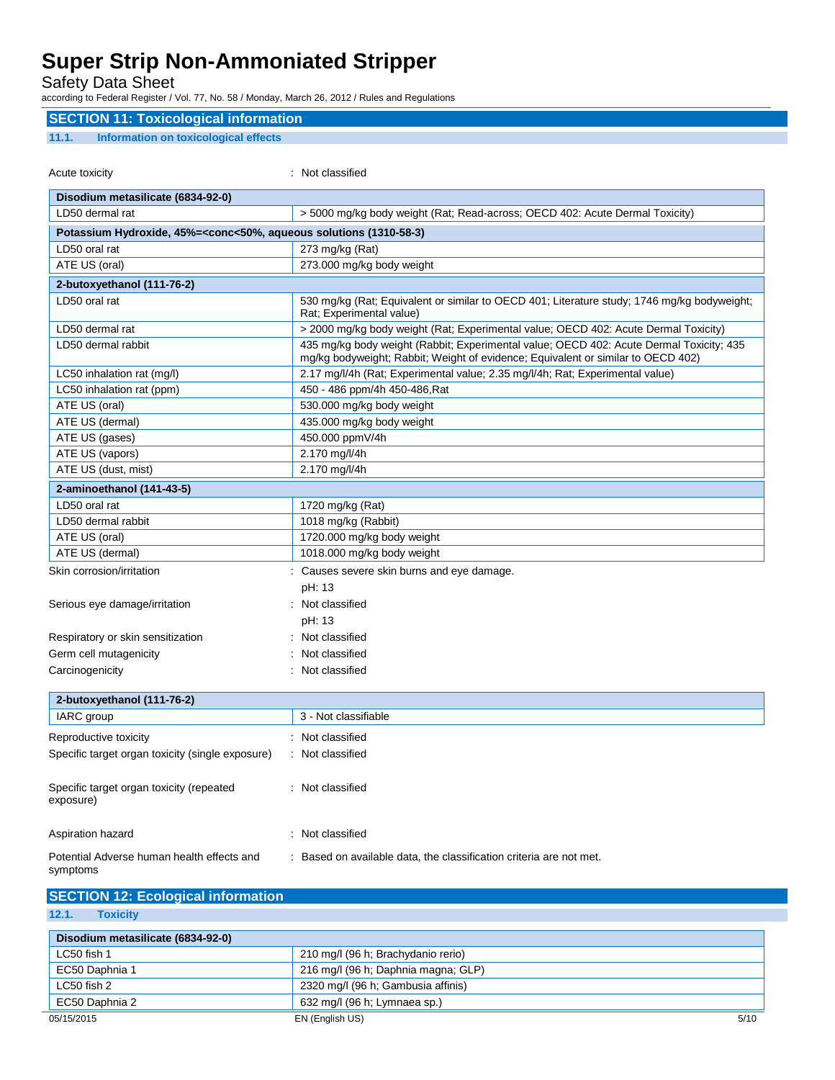Safety Data Sheet

according to Federal Register / Vol. 77, No. 58 / Monday, March 26, 2012 / Rules and Regulations

### **SECTION 11: Toxicological information**

#### **11.1. Information on toxicological effects**

| Acute toxicity                                                                                           | : Not classified                                                                                                                                                            |  |
|----------------------------------------------------------------------------------------------------------|-----------------------------------------------------------------------------------------------------------------------------------------------------------------------------|--|
| Disodium metasilicate (6834-92-0)                                                                        |                                                                                                                                                                             |  |
| LD50 dermal rat                                                                                          | > 5000 mg/kg body weight (Rat; Read-across; OECD 402: Acute Dermal Toxicity)                                                                                                |  |
| Potassium Hydroxide, 45%= <conc<50%, (1310-58-3)<="" aqueous="" solutions="" td=""><td></td></conc<50%,> |                                                                                                                                                                             |  |
| LD50 oral rat                                                                                            | 273 mg/kg (Rat)                                                                                                                                                             |  |
| ATE US (oral)                                                                                            | 273.000 mg/kg body weight                                                                                                                                                   |  |
| 2-butoxyethanol (111-76-2)                                                                               |                                                                                                                                                                             |  |
| LD50 oral rat                                                                                            | 530 mg/kg (Rat; Equivalent or similar to OECD 401; Literature study; 1746 mg/kg bodyweight;<br>Rat; Experimental value)                                                     |  |
| LD50 dermal rat                                                                                          | > 2000 mg/kg body weight (Rat; Experimental value; OECD 402: Acute Dermal Toxicity)                                                                                         |  |
| LD50 dermal rabbit                                                                                       | 435 mg/kg body weight (Rabbit; Experimental value; OECD 402: Acute Dermal Toxicity; 435<br>mg/kg bodyweight; Rabbit; Weight of evidence; Equivalent or similar to OECD 402) |  |
| LC50 inhalation rat (mg/l)                                                                               | 2.17 mg/l/4h (Rat; Experimental value; 2.35 mg/l/4h; Rat; Experimental value)                                                                                               |  |
| LC50 inhalation rat (ppm)                                                                                | 450 - 486 ppm/4h 450-486, Rat                                                                                                                                               |  |
| ATE US (oral)                                                                                            | 530.000 mg/kg body weight                                                                                                                                                   |  |
| ATE US (dermal)                                                                                          | 435.000 mg/kg body weight                                                                                                                                                   |  |
| ATE US (gases)                                                                                           | 450.000 ppmV/4h                                                                                                                                                             |  |
| ATE US (vapors)                                                                                          | 2.170 mg/l/4h                                                                                                                                                               |  |
| ATE US (dust, mist)                                                                                      | 2.170 mg/l/4h                                                                                                                                                               |  |
| 2-aminoethanol (141-43-5)                                                                                |                                                                                                                                                                             |  |
| LD50 oral rat                                                                                            | 1720 mg/kg (Rat)                                                                                                                                                            |  |
| LD50 dermal rabbit                                                                                       | 1018 mg/kg (Rabbit)                                                                                                                                                         |  |
| ATE US (oral)                                                                                            | 1720.000 mg/kg body weight                                                                                                                                                  |  |
| ATE US (dermal)                                                                                          | 1018.000 mg/kg body weight                                                                                                                                                  |  |
| Skin corrosion/irritation                                                                                | Causes severe skin burns and eye damage.                                                                                                                                    |  |
|                                                                                                          | pH: 13                                                                                                                                                                      |  |
| Serious eye damage/irritation                                                                            | : Not classified                                                                                                                                                            |  |
|                                                                                                          | pH: 13                                                                                                                                                                      |  |
| Respiratory or skin sensitization                                                                        | Not classified                                                                                                                                                              |  |
| Germ cell mutagenicity                                                                                   | Not classified                                                                                                                                                              |  |
| Carcinogenicity                                                                                          | : Not classified                                                                                                                                                            |  |
| 2-butoxyethanol (111-76-2)                                                                               |                                                                                                                                                                             |  |
| IARC group                                                                                               | 3 - Not classifiable                                                                                                                                                        |  |
| Reproductive toxicity                                                                                    | : Not classified                                                                                                                                                            |  |
| Specific target organ toxicity (single exposure)                                                         | : Not classified                                                                                                                                                            |  |
|                                                                                                          |                                                                                                                                                                             |  |
| Specific target organ toxicity (repeated<br>exposure)                                                    | : Not classified                                                                                                                                                            |  |
| Aspiration hazard                                                                                        | : Not classified                                                                                                                                                            |  |

Potential Adverse human health effects and symptoms : Based on available data, the classification criteria are not met.

### **SECTION 12: Ecological information**

| 12.1.<br><b>Toxicity</b>          |                                     |      |
|-----------------------------------|-------------------------------------|------|
| Disodium metasilicate (6834-92-0) |                                     |      |
| LC50 fish 1                       | 210 mg/l (96 h; Brachydanio rerio)  |      |
| EC50 Daphnia 1                    | 216 mg/l (96 h; Daphnia magna; GLP) |      |
| LC50 fish 2                       | 2320 mg/l (96 h; Gambusia affinis)  |      |
| EC50 Daphnia 2                    | 632 mg/l (96 h; Lymnaea sp.)        |      |
| 05/15/2015                        | EN (English US)                     | 5/10 |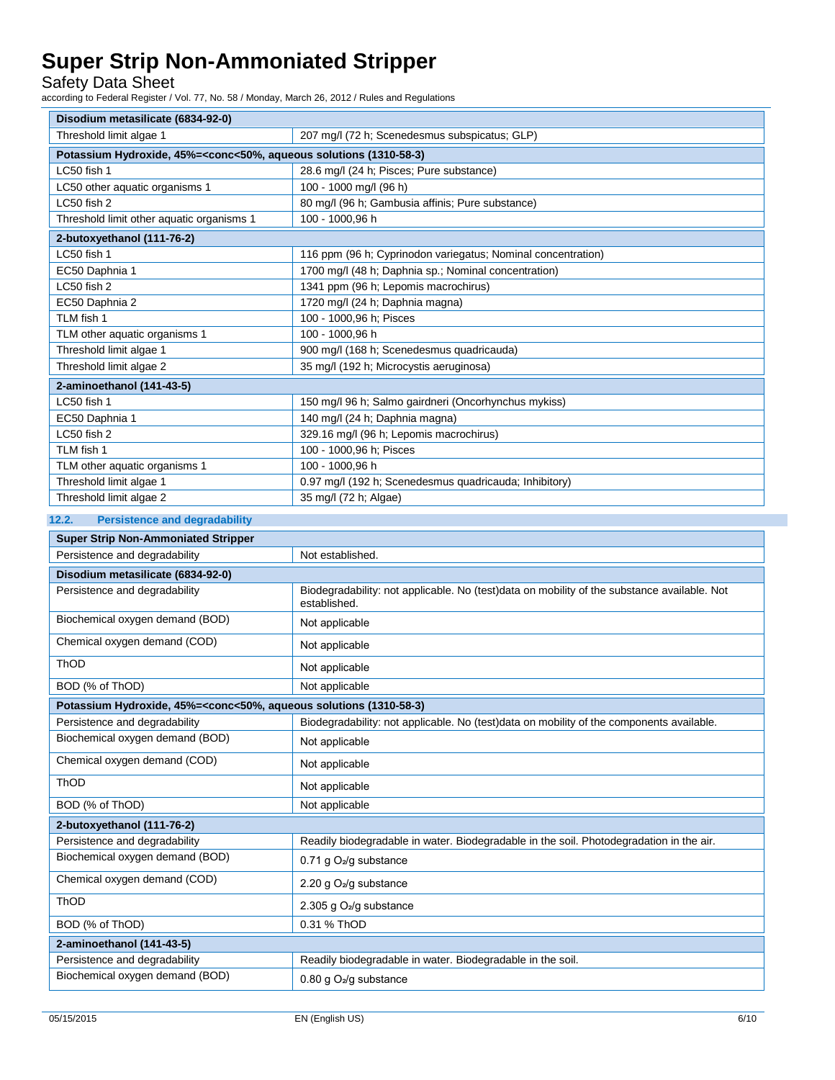Safety Data Sheet

according to Federal Register / Vol. 77, No. 58 / Monday, March 26, 2012 / Rules and Regulations

| Disodium metasilicate (6834-92-0)                                                                        |                                                                                             |
|----------------------------------------------------------------------------------------------------------|---------------------------------------------------------------------------------------------|
| Threshold limit algae 1                                                                                  | 207 mg/l (72 h; Scenedesmus subspicatus; GLP)                                               |
| Potassium Hydroxide, 45%= <conc<50%, (1310-58-3)<="" aqueous="" solutions="" td=""><td></td></conc<50%,> |                                                                                             |
| LC50 fish 1                                                                                              | 28.6 mg/l (24 h; Pisces; Pure substance)                                                    |
| LC50 other aquatic organisms 1                                                                           | 100 - 1000 mg/l (96 h)                                                                      |
| LC50 fish 2                                                                                              | 80 mg/l (96 h; Gambusia affinis; Pure substance)                                            |
| Threshold limit other aquatic organisms 1                                                                | 100 - 1000,96 h                                                                             |
| 2-butoxyethanol (111-76-2)                                                                               |                                                                                             |
| LC50 fish 1                                                                                              | 116 ppm (96 h; Cyprinodon variegatus; Nominal concentration)                                |
| EC50 Daphnia 1                                                                                           | 1700 mg/l (48 h; Daphnia sp.; Nominal concentration)                                        |
| LC50 fish 2                                                                                              | 1341 ppm (96 h; Lepomis macrochirus)                                                        |
| EC50 Daphnia 2                                                                                           | 1720 mg/l (24 h; Daphnia magna)                                                             |
| TLM fish 1                                                                                               | 100 - 1000,96 h; Pisces                                                                     |
| TLM other aquatic organisms 1                                                                            | 100 - 1000,96 h                                                                             |
| Threshold limit algae 1                                                                                  | 900 mg/l (168 h; Scenedesmus quadricauda)                                                   |
| Threshold limit algae 2                                                                                  | 35 mg/l (192 h; Microcystis aeruginosa)                                                     |
| 2-aminoethanol (141-43-5)                                                                                |                                                                                             |
| LC50 fish 1                                                                                              | 150 mg/l 96 h; Salmo gairdneri (Oncorhynchus mykiss)                                        |
| EC50 Daphnia 1                                                                                           | 140 mg/l (24 h; Daphnia magna)                                                              |
| LC50 fish 2                                                                                              | 329.16 mg/l (96 h; Lepomis macrochirus)                                                     |
| TLM fish 1                                                                                               | 100 - 1000,96 h; Pisces                                                                     |
| TLM other aquatic organisms 1                                                                            | 100 - 1000,96 h                                                                             |
| Threshold limit algae 1                                                                                  | 0.97 mg/l (192 h; Scenedesmus quadricauda; Inhibitory)                                      |
| Threshold limit algae 2                                                                                  | 35 mg/l (72 h; Algae)                                                                       |
| 12.2.<br><b>Persistence and degradability</b>                                                            |                                                                                             |
| <b>Super Strip Non-Ammoniated Stripper</b>                                                               |                                                                                             |
| Persistence and degradability                                                                            | Not established.                                                                            |
|                                                                                                          |                                                                                             |
| Disodium metasilicate (6834-92-0)<br>Persistence and degradability                                       | Biodegradability: not applicable. No (test)data on mobility of the substance available. Not |
|                                                                                                          | established.                                                                                |
| Biochemical oxygen demand (BOD)                                                                          | Not applicable                                                                              |
| Chemical oxygen demand (COD)                                                                             | Not applicable                                                                              |
| ThOD                                                                                                     | Not applicable                                                                              |
| BOD (% of ThOD)                                                                                          | Not applicable                                                                              |
| Potassium Hydroxide, 45%= <conc<50%, (1310-58-3)<="" aqueous="" solutions="" td=""><td></td></conc<50%,> |                                                                                             |
| Persistence and degradability                                                                            | Biodegradability: not applicable. No (test)data on mobility of the components available.    |
| Biochemical oxygen demand (BOD)                                                                          | Not applicable                                                                              |
| Chemical oxygen demand (COD)                                                                             | Not applicable                                                                              |
| ThOD                                                                                                     | Not applicable                                                                              |
| BOD (% of ThOD)                                                                                          | Not applicable                                                                              |
| 2-butoxyethanol (111-76-2)                                                                               |                                                                                             |
| Persistence and degradability                                                                            | Readily biodegradable in water. Biodegradable in the soil. Photodegradation in the air.     |
| Biochemical oxygen demand (BOD)                                                                          | 0.71 g $O_2$ /g substance                                                                   |
| Chemical oxygen demand (COD)                                                                             | 2.20 g O <sub>2</sub> /g substance                                                          |
| ThOD                                                                                                     | 2.305 g O <sub>2</sub> /g substance                                                         |
| BOD (% of ThOD)                                                                                          | 0.31 % ThOD                                                                                 |
| 2-aminoethanol (141-43-5)                                                                                |                                                                                             |
| Persistence and degradability                                                                            | Readily biodegradable in water. Biodegradable in the soil.                                  |
| Biochemical oxygen demand (BOD)                                                                          | 0.80 g O <sub>2</sub> /g substance                                                          |
|                                                                                                          |                                                                                             |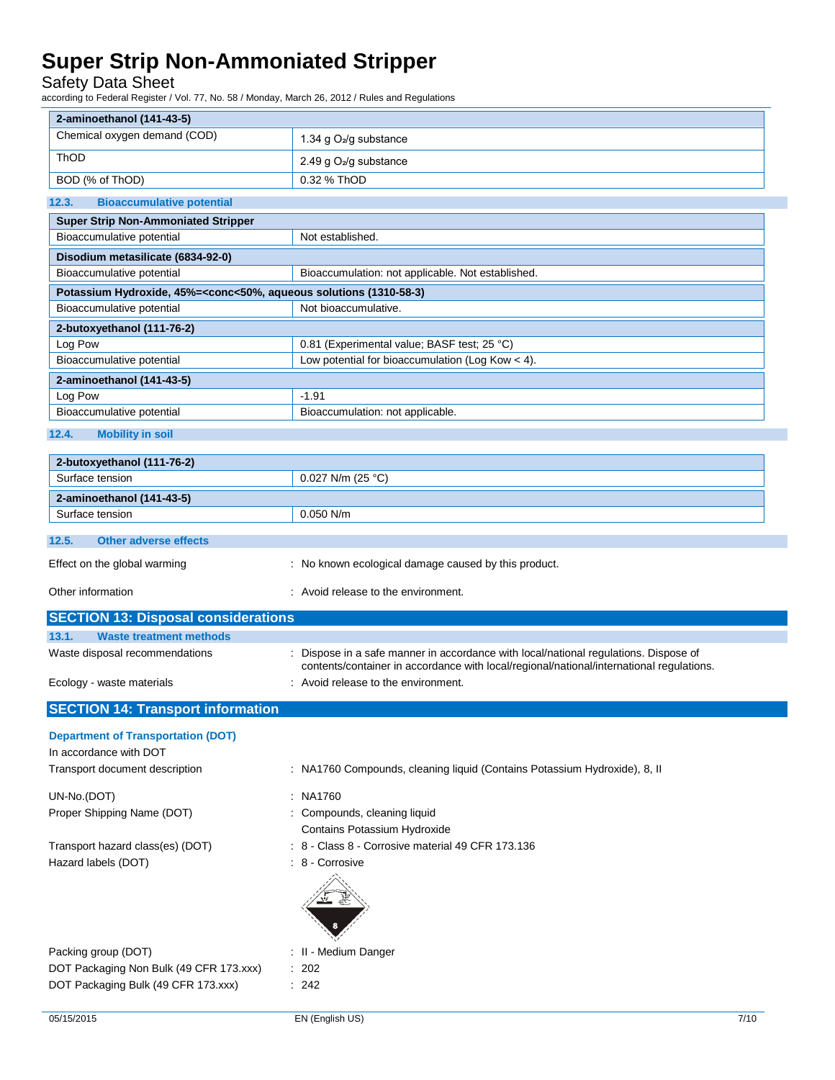| <b>Safety Data Sheet</b><br>according to Federal Register / Vol. 77, No. 58 / Monday, March 26, 2012 / Rules and Regulations |                                                                                                                                                                                |
|------------------------------------------------------------------------------------------------------------------------------|--------------------------------------------------------------------------------------------------------------------------------------------------------------------------------|
| 2-aminoethanol (141-43-5)                                                                                                    |                                                                                                                                                                                |
| Chemical oxygen demand (COD)                                                                                                 | 1.34 g $O_2$ /g substance                                                                                                                                                      |
| ThOD                                                                                                                         | 2.49 g O <sub>2</sub> /g substance                                                                                                                                             |
| BOD (% of ThOD)                                                                                                              | 0.32 % ThOD                                                                                                                                                                    |
| <b>Bioaccumulative potential</b><br>12.3.                                                                                    |                                                                                                                                                                                |
| <b>Super Strip Non-Ammoniated Stripper</b>                                                                                   |                                                                                                                                                                                |
| Bioaccumulative potential                                                                                                    | Not established.                                                                                                                                                               |
| Disodium metasilicate (6834-92-0)                                                                                            |                                                                                                                                                                                |
| Bioaccumulative potential                                                                                                    | Bioaccumulation: not applicable. Not established.                                                                                                                              |
| Potassium Hydroxide, 45%= <conc<50%, (1310-58-3)<="" aqueous="" solutions="" td=""><td></td></conc<50%,>                     |                                                                                                                                                                                |
| Bioaccumulative potential                                                                                                    | Not bioaccumulative.                                                                                                                                                           |
| 2-butoxyethanol (111-76-2)                                                                                                   |                                                                                                                                                                                |
| Log Pow                                                                                                                      | 0.81 (Experimental value; BASF test; 25 °C)                                                                                                                                    |
| Bioaccumulative potential                                                                                                    | Low potential for bioaccumulation (Log Kow < 4).                                                                                                                               |
| 2-aminoethanol (141-43-5)                                                                                                    |                                                                                                                                                                                |
| Log Pow                                                                                                                      | $-1.91$                                                                                                                                                                        |
| Bioaccumulative potential                                                                                                    | Bioaccumulation: not applicable.                                                                                                                                               |
| 12.4.<br><b>Mobility in soil</b>                                                                                             |                                                                                                                                                                                |
| 2-butoxyethanol (111-76-2)                                                                                                   |                                                                                                                                                                                |
| Surface tension                                                                                                              | 0.027 N/m (25 °C)                                                                                                                                                              |
| 2-aminoethanol (141-43-5)                                                                                                    |                                                                                                                                                                                |
| Surface tension                                                                                                              | $0.050$ N/m                                                                                                                                                                    |
| 12.5.<br><b>Other adverse effects</b>                                                                                        |                                                                                                                                                                                |
| Effect on the global warming                                                                                                 | : No known ecological damage caused by this product.                                                                                                                           |
| Other information                                                                                                            | Avoid release to the environment.                                                                                                                                              |
| <b>SECTION 13: Disposal considerations</b>                                                                                   |                                                                                                                                                                                |
| 13.1.<br><b>Waste treatment methods</b>                                                                                      |                                                                                                                                                                                |
| Waste disposal recommendations                                                                                               | Dispose in a safe manner in accordance with local/national regulations. Dispose of<br>contents/container in accordance with local/regional/national/international regulations. |
| Ecology - waste materials                                                                                                    | Avoid release to the environment.                                                                                                                                              |
| <b>SECTION 14: Transport information</b>                                                                                     |                                                                                                                                                                                |
| <b>Department of Transportation (DOT)</b>                                                                                    |                                                                                                                                                                                |
| In accordance with DOT                                                                                                       |                                                                                                                                                                                |
| Transport document description                                                                                               | : NA1760 Compounds, cleaning liquid (Contains Potassium Hydroxide), 8, II                                                                                                      |
| UN-No.(DOT)                                                                                                                  | : NA1760                                                                                                                                                                       |
| Proper Shipping Name (DOT)                                                                                                   | : Compounds, cleaning liquid                                                                                                                                                   |
|                                                                                                                              | Contains Potassium Hydroxide                                                                                                                                                   |
| Transport hazard class(es) (DOT)                                                                                             | : 8 - Class 8 - Corrosive material 49 CFR 173.136                                                                                                                              |
| Hazard labels (DOT)                                                                                                          | : 8 - Corrosive                                                                                                                                                                |
|                                                                                                                              |                                                                                                                                                                                |

Packing group (DOT) **in the case of the COV**  $\cdot$  II - Medium Danger DOT Packaging Non Bulk (49 CFR 173.xxx) : 202 DOT Packaging Bulk (49 CFR 173.xxx) : 242



- 
- 
-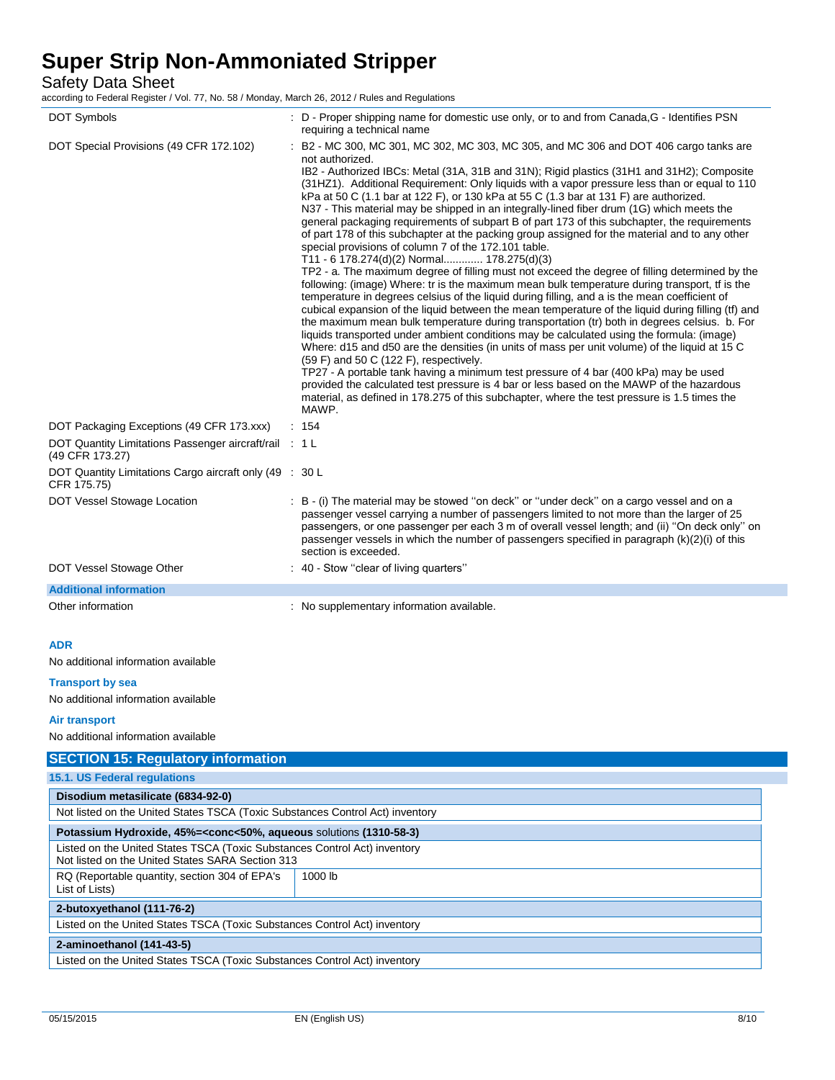Safety Data Sheet

according to Federal Register / Vol. 77, No. 58 / Monday, March 26, 2012 / Rules and Regulations

| <b>DOT Symbols</b>                                                        | : D - Proper shipping name for domestic use only, or to and from Canada, G - Identifies PSN<br>requiring a technical name                                                                                                                                                                                                                                                                                                                                                                                                                                                                                                                                                                                                                                                                                                                                                                                                                                                                                                                                                                                                                                                                                                                                                                                                                                                                                                                                                                                                                                                                                                                                                                                                                                                                                                                             |
|---------------------------------------------------------------------------|-------------------------------------------------------------------------------------------------------------------------------------------------------------------------------------------------------------------------------------------------------------------------------------------------------------------------------------------------------------------------------------------------------------------------------------------------------------------------------------------------------------------------------------------------------------------------------------------------------------------------------------------------------------------------------------------------------------------------------------------------------------------------------------------------------------------------------------------------------------------------------------------------------------------------------------------------------------------------------------------------------------------------------------------------------------------------------------------------------------------------------------------------------------------------------------------------------------------------------------------------------------------------------------------------------------------------------------------------------------------------------------------------------------------------------------------------------------------------------------------------------------------------------------------------------------------------------------------------------------------------------------------------------------------------------------------------------------------------------------------------------------------------------------------------------------------------------------------------------|
| DOT Special Provisions (49 CFR 172.102)                                   | : B2 - MC 300, MC 301, MC 302, MC 303, MC 305, and MC 306 and DOT 406 cargo tanks are<br>not authorized.<br>IB2 - Authorized IBCs: Metal (31A, 31B and 31N); Rigid plastics (31H1 and 31H2); Composite<br>(31HZ1). Additional Requirement: Only liquids with a vapor pressure less than or equal to 110<br>kPa at 50 C (1.1 bar at 122 F), or 130 kPa at 55 C (1.3 bar at 131 F) are authorized.<br>N37 - This material may be shipped in an integrally-lined fiber drum (1G) which meets the<br>general packaging requirements of subpart B of part 173 of this subchapter, the requirements<br>of part 178 of this subchapter at the packing group assigned for the material and to any other<br>special provisions of column 7 of the 172.101 table.<br>T11 - 6 178.274(d)(2) Normal 178.275(d)(3)<br>TP2 - a. The maximum degree of filling must not exceed the degree of filling determined by the<br>following: (image) Where: tr is the maximum mean bulk temperature during transport, tf is the<br>temperature in degrees celsius of the liquid during filling, and a is the mean coefficient of<br>cubical expansion of the liquid between the mean temperature of the liquid during filling (tf) and<br>the maximum mean bulk temperature during transportation (tr) both in degrees celsius. b. For<br>liquids transported under ambient conditions may be calculated using the formula: (image)<br>Where: d15 and d50 are the densities (in units of mass per unit volume) of the liquid at 15 C<br>(59 F) and 50 C (122 F), respectively.<br>TP27 - A portable tank having a minimum test pressure of 4 bar (400 kPa) may be used<br>provided the calculated test pressure is 4 bar or less based on the MAWP of the hazardous<br>material, as defined in 178.275 of this subchapter, where the test pressure is 1.5 times the<br>MAWP. |
| DOT Packaging Exceptions (49 CFR 173.xxx)                                 | : 154                                                                                                                                                                                                                                                                                                                                                                                                                                                                                                                                                                                                                                                                                                                                                                                                                                                                                                                                                                                                                                                                                                                                                                                                                                                                                                                                                                                                                                                                                                                                                                                                                                                                                                                                                                                                                                                 |
| DOT Quantity Limitations Passenger aircraft/rail : 1 L<br>(49 CFR 173.27) |                                                                                                                                                                                                                                                                                                                                                                                                                                                                                                                                                                                                                                                                                                                                                                                                                                                                                                                                                                                                                                                                                                                                                                                                                                                                                                                                                                                                                                                                                                                                                                                                                                                                                                                                                                                                                                                       |
| DOT Quantity Limitations Cargo aircraft only (49 : 30 L<br>CFR 175.75)    |                                                                                                                                                                                                                                                                                                                                                                                                                                                                                                                                                                                                                                                                                                                                                                                                                                                                                                                                                                                                                                                                                                                                                                                                                                                                                                                                                                                                                                                                                                                                                                                                                                                                                                                                                                                                                                                       |
| DOT Vessel Stowage Location                                               | : B - (i) The material may be stowed "on deck" or "under deck" on a cargo vessel and on a<br>passenger vessel carrying a number of passengers limited to not more than the larger of 25<br>passengers, or one passenger per each 3 m of overall vessel length; and (ii) "On deck only" on<br>passenger vessels in which the number of passengers specified in paragraph (k)(2)(i) of this<br>section is exceeded.                                                                                                                                                                                                                                                                                                                                                                                                                                                                                                                                                                                                                                                                                                                                                                                                                                                                                                                                                                                                                                                                                                                                                                                                                                                                                                                                                                                                                                     |
| DOT Vessel Stowage Other                                                  | : 40 - Stow "clear of living quarters"                                                                                                                                                                                                                                                                                                                                                                                                                                                                                                                                                                                                                                                                                                                                                                                                                                                                                                                                                                                                                                                                                                                                                                                                                                                                                                                                                                                                                                                                                                                                                                                                                                                                                                                                                                                                                |
| <b>Additional information</b>                                             |                                                                                                                                                                                                                                                                                                                                                                                                                                                                                                                                                                                                                                                                                                                                                                                                                                                                                                                                                                                                                                                                                                                                                                                                                                                                                                                                                                                                                                                                                                                                                                                                                                                                                                                                                                                                                                                       |
| Other information                                                         | : No supplementary information available.                                                                                                                                                                                                                                                                                                                                                                                                                                                                                                                                                                                                                                                                                                                                                                                                                                                                                                                                                                                                                                                                                                                                                                                                                                                                                                                                                                                                                                                                                                                                                                                                                                                                                                                                                                                                             |

#### **ADR**

No additional information available

#### **Transport by sea**

No additional information available

#### **Air transport**

No additional information available

| <b>SECTION 15: Regulatory information</b>                                                                                     |         |  |  |  |
|-------------------------------------------------------------------------------------------------------------------------------|---------|--|--|--|
| 15.1. US Federal regulations                                                                                                  |         |  |  |  |
| Disodium metasilicate (6834-92-0)                                                                                             |         |  |  |  |
| Not listed on the United States TSCA (Toxic Substances Control Act) inventory                                                 |         |  |  |  |
| Potassium Hydroxide, 45%= <conc<50%, (1310-58-3)<="" aqueous="" solutions="" td=""></conc<50%,>                               |         |  |  |  |
| Listed on the United States TSCA (Toxic Substances Control Act) inventory<br>Not listed on the United States SARA Section 313 |         |  |  |  |
| RQ (Reportable quantity, section 304 of EPA's<br>List of Lists)                                                               | 1000 lb |  |  |  |
| 2-butoxyethanol (111-76-2)                                                                                                    |         |  |  |  |
| Listed on the United States TSCA (Toxic Substances Control Act) inventory                                                     |         |  |  |  |
| 2-aminoethanol (141-43-5)                                                                                                     |         |  |  |  |
| Listed on the United States TSCA (Toxic Substances Control Act) inventory                                                     |         |  |  |  |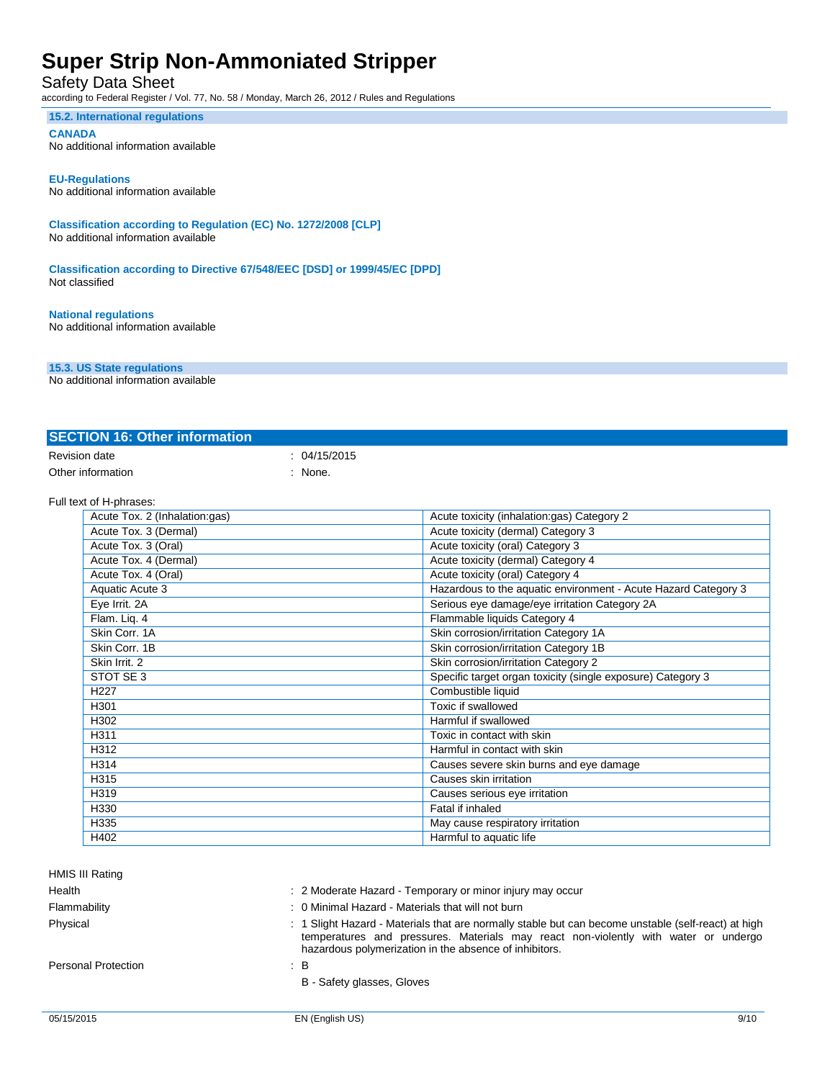### Safety Data Sheet

according to Federal Register / Vol. 77, No. 58 / Monday, March 26, 2012 / Rules and Regulations

#### **15.2. International regulations**

#### **CANADA**

No additional information available

#### **EU-Regulations**

No additional information available

**Classification according to Regulation (EC) No. 1272/2008 [CLP]** No additional information available

**Classification according to Directive 67/548/EEC [DSD] or 1999/45/EC [DPD]** Not classified

### **National regulations**

No additional information available

#### **15.3. US State regulations**

No additional information available

| <b>SECTION 16: Other information</b> |            |
|--------------------------------------|------------|
| Revision date                        | 04/15/2015 |
| Other information                    | None.      |

#### Full text of H-phrases:

| Acute Tox. 2 (Inhalation:gas) | Acute toxicity (inhalation:gas) Category 2                     |
|-------------------------------|----------------------------------------------------------------|
| Acute Tox. 3 (Dermal)         | Acute toxicity (dermal) Category 3                             |
| Acute Tox. 3 (Oral)           | Acute toxicity (oral) Category 3                               |
| Acute Tox. 4 (Dermal)         | Acute toxicity (dermal) Category 4                             |
| Acute Tox. 4 (Oral)           | Acute toxicity (oral) Category 4                               |
| Aquatic Acute 3               | Hazardous to the aquatic environment - Acute Hazard Category 3 |
| Eye Irrit. 2A                 | Serious eye damage/eye irritation Category 2A                  |
| Flam. Lig. 4                  | Flammable liquids Category 4                                   |
| Skin Corr. 1A                 | Skin corrosion/irritation Category 1A                          |
| Skin Corr. 1B                 | Skin corrosion/irritation Category 1B                          |
| Skin Irrit. 2                 | Skin corrosion/irritation Category 2                           |
| STOT SE 3                     | Specific target organ toxicity (single exposure) Category 3    |
| H <sub>227</sub>              | Combustible liquid                                             |
| H301                          | Toxic if swallowed                                             |
| H302                          | Harmful if swallowed                                           |
| H311                          | Toxic in contact with skin                                     |
| H312                          | Harmful in contact with skin                                   |
| H314                          | Causes severe skin burns and eye damage                        |
| H315                          | Causes skin irritation                                         |
| H319                          | Causes serious eye irritation                                  |
| H330                          | Fatal if inhaled                                               |
| H335                          | May cause respiratory irritation                               |
| H402                          | Harmful to aquatic life                                        |
|                               |                                                                |

Health : 2 Moderate Hazard - Temporary or minor injury may occur

Flammability : 0 Minimal Hazard - Materials that will not burn

Physical **inducts** in the slight Hazard - Materials that are normally stable but can become unstable (self-react) at high temperatures and pressures. Materials may react non-violently with water or undergo hazardous polymerization in the absence of inhibitors.

Personal Protection : B

B - Safety glasses, Gloves